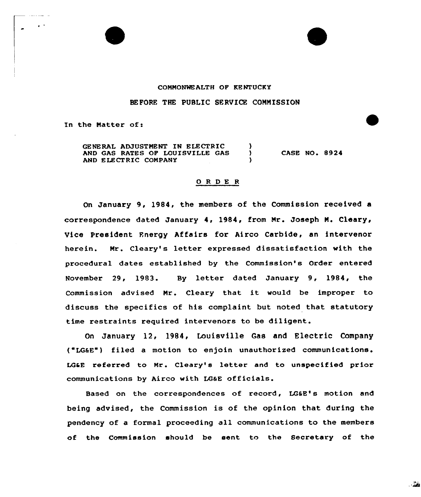

## BEFORE THE PUBLIC SERVICE COMMISSION

In the Matter of:

GENERAL ADJUSTMENT IN ELECTRIC ) AND GAS RATES OF LOUISVILLE GAS AND ELECTRIC COMPANY CASE NO. 8924

## 0 <sup>R</sup> DE <sup>R</sup>

On January 9, 1984, the members of the Commission received a correspondence dated January 4, 1984, from Mr. Joseph M. Cleary, Vice President Energy Affairs for Airco Carbide, an intervenor herein. Mr. Cleary's letter expressed dissatisfaction with the procedural dates established by the Commission's Order entered November 29, 1983. By letter dated January 9, 1984, the Commission advised Nr. Cleary that it would be improper to discuss the specifics of his complaint but noted that statutory time restraints required intervenors to be diligent.

On January l2, 1984, Louisville Gas and Electric Company ( LGaE") filed a motion to enjoin unauthorized communications. LGaE referred to Mr. Cleary's letter and to unspecified prior communications by Airco with LGaE officials.

Based on the correspondences of record, LG&E's motion and being advised, the Commission is of the opinion that during the pendency of a formal proceeding all communications to the members of the Commission should be sent to the Secretary of the

. . 22